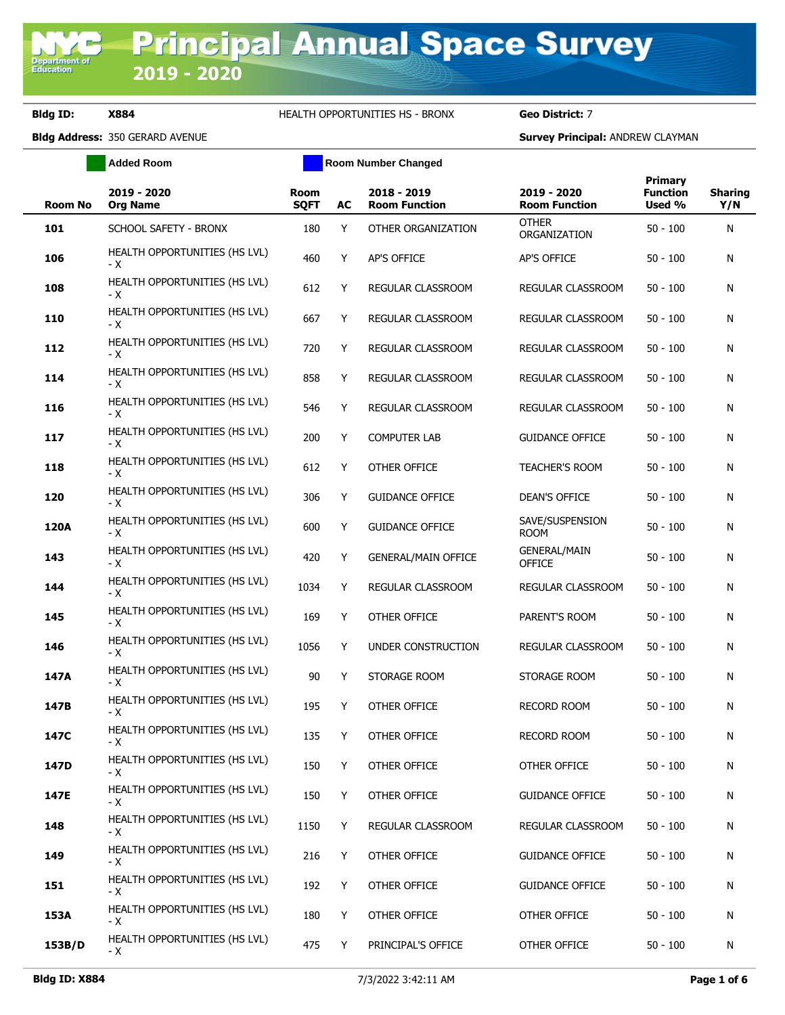**Department of**<br>Education

### **Bldg ID: X884** HEALTH OPPORTUNITIES HS - BRONX **Geo District:** 7

**Added Room Room Number Changed** 

| <b>Room No</b> | 2019 - 2020<br><b>Org Name</b>         | <b>Room</b><br><b>SQFT</b> | AC | 2018 - 2019<br><b>Room Function</b> | 2019 - 2020<br><b>Room Function</b>  | <b>Primary</b><br><b>Function</b><br>Used % | <b>Sharing</b><br>Y/N |
|----------------|----------------------------------------|----------------------------|----|-------------------------------------|--------------------------------------|---------------------------------------------|-----------------------|
| 101            | SCHOOL SAFETY - BRONX                  | 180                        | Y  | OTHER ORGANIZATION                  | <b>OTHER</b><br>ORGANIZATION         | $50 - 100$                                  | N                     |
| 106            | HEALTH OPPORTUNITIES (HS LVL)<br>- X   | 460                        | Y  | AP'S OFFICE                         | AP'S OFFICE                          | $50 - 100$                                  | N                     |
| 108            | HEALTH OPPORTUNITIES (HS LVL)<br>- X   | 612                        | Y  | REGULAR CLASSROOM                   | REGULAR CLASSROOM                    | $50 - 100$                                  | N                     |
| 110            | HEALTH OPPORTUNITIES (HS LVL)<br>- X   | 667                        | Y  | REGULAR CLASSROOM                   | REGULAR CLASSROOM                    | $50 - 100$                                  | N                     |
| 112            | HEALTH OPPORTUNITIES (HS LVL)<br>- X   | 720                        | Y  | REGULAR CLASSROOM                   | REGULAR CLASSROOM                    | $50 - 100$                                  | N                     |
| 114            | HEALTH OPPORTUNITIES (HS LVL)<br>- X   | 858                        | Y  | REGULAR CLASSROOM                   | REGULAR CLASSROOM                    | $50 - 100$                                  | N                     |
| 116            | HEALTH OPPORTUNITIES (HS LVL)<br>- X   | 546                        | Y  | REGULAR CLASSROOM                   | REGULAR CLASSROOM                    | $50 - 100$                                  | N                     |
| 117            | HEALTH OPPORTUNITIES (HS LVL)<br>- X   | 200                        | Y  | <b>COMPUTER LAB</b>                 | <b>GUIDANCE OFFICE</b>               | $50 - 100$                                  | N                     |
| 118            | HEALTH OPPORTUNITIES (HS LVL)<br>- X   | 612                        | Y  | OTHER OFFICE                        | <b>TEACHER'S ROOM</b>                | 50 - 100                                    | N                     |
| 120            | HEALTH OPPORTUNITIES (HS LVL)<br>- X   | 306                        | Y  | <b>GUIDANCE OFFICE</b>              | <b>DEAN'S OFFICE</b>                 | $50 - 100$                                  | N                     |
| 120A           | HEALTH OPPORTUNITIES (HS LVL)<br>- X   | 600                        | Y  | <b>GUIDANCE OFFICE</b>              | SAVE/SUSPENSION<br><b>ROOM</b>       | 50 - 100                                    | N                     |
| 143            | HEALTH OPPORTUNITIES (HS LVL)<br>- X   | 420                        | Y  | <b>GENERAL/MAIN OFFICE</b>          | <b>GENERAL/MAIN</b><br><b>OFFICE</b> | $50 - 100$                                  | N                     |
| 144            | HEALTH OPPORTUNITIES (HS LVL)<br>- X   | 1034                       | Y  | REGULAR CLASSROOM                   | REGULAR CLASSROOM                    | $50 - 100$                                  | N                     |
| 145            | HEALTH OPPORTUNITIES (HS LVL)<br>- X   | 169                        | Y  | OTHER OFFICE                        | PARENT'S ROOM                        | $50 - 100$                                  | N                     |
| 146            | HEALTH OPPORTUNITIES (HS LVL)<br>- X   | 1056                       | Y  | UNDER CONSTRUCTION                  | REGULAR CLASSROOM                    | $50 - 100$                                  | N                     |
| 147A           | HEALTH OPPORTUNITIES (HS LVL)<br>- X   | $90\,$                     | Y  | STORAGE ROOM                        | STORAGE ROOM                         | 50 - 100                                    | N                     |
| 147B           | HEALTH OPPORTUNITIES (HS LVL)<br>- X   | 195                        | Y  | OTHER OFFICE                        | <b>RECORD ROOM</b>                   | $50 - 100$                                  | N                     |
| 147C           | HEALTH OPPORTUNITIES (HS LVL)<br>- X - | 135                        | Y  | OTHER OFFICE                        | <b>RECORD ROOM</b>                   | $50 - 100$                                  | N                     |
| 147D           | HEALTH OPPORTUNITIES (HS LVL)<br>- X   | 150                        | Y  | OTHER OFFICE                        | OTHER OFFICE                         | $50 - 100$                                  | N                     |
| 147E           | HEALTH OPPORTUNITIES (HS LVL)<br>- X   | 150                        | Y  | OTHER OFFICE                        | <b>GUIDANCE OFFICE</b>               | $50 - 100$                                  | N                     |
| 148            | HEALTH OPPORTUNITIES (HS LVL)<br>- X   | 1150                       | Y  | REGULAR CLASSROOM                   | REGULAR CLASSROOM                    | $50 - 100$                                  | N                     |
| 149            | HEALTH OPPORTUNITIES (HS LVL)<br>- X   | 216                        | Y  | OTHER OFFICE                        | <b>GUIDANCE OFFICE</b>               | $50 - 100$                                  | N                     |
| 151            | HEALTH OPPORTUNITIES (HS LVL)<br>- X   | 192                        | Y  | OTHER OFFICE                        | <b>GUIDANCE OFFICE</b>               | $50 - 100$                                  | N                     |
| 153A           | HEALTH OPPORTUNITIES (HS LVL)<br>- X   | 180                        | Y  | OTHER OFFICE                        | OTHER OFFICE                         | $50 - 100$                                  | N                     |
| 153B/D         | HEALTH OPPORTUNITIES (HS LVL)<br>- X   | 475                        | Y  | PRINCIPAL'S OFFICE                  | OTHER OFFICE                         | $50 - 100$                                  | N                     |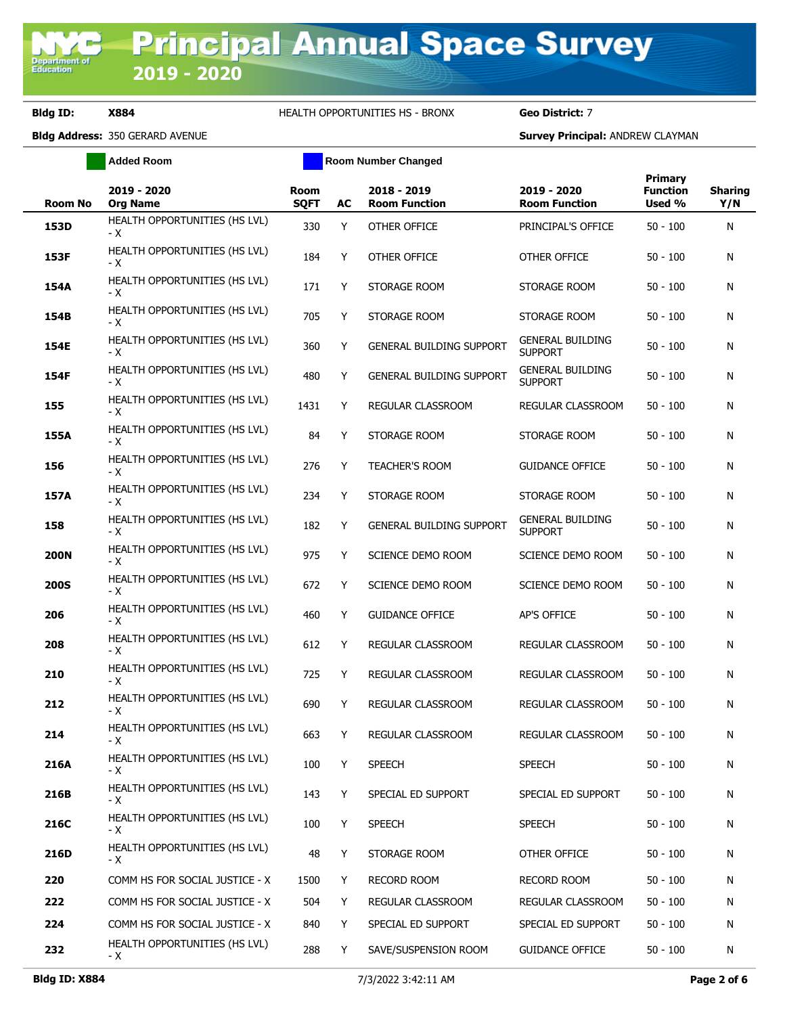**Bldg ID: X884** HEALTH OPPORTUNITIES HS - BRONX **Geo District:** 7

|             | <b>Added Room</b>                    | <b>Room Number Changed</b> |    |                                     |                                           |                                      |                       |
|-------------|--------------------------------------|----------------------------|----|-------------------------------------|-------------------------------------------|--------------------------------------|-----------------------|
| Room No     | 2019 - 2020<br><b>Org Name</b>       | <b>Room</b><br><b>SQFT</b> | AC | 2018 - 2019<br><b>Room Function</b> | 2019 - 2020<br><b>Room Function</b>       | Primary<br><b>Function</b><br>Used % | <b>Sharing</b><br>Y/N |
| 153D        | HEALTH OPPORTUNITIES (HS LVL)<br>- X | 330                        | Y  | OTHER OFFICE                        | PRINCIPAL'S OFFICE                        | $50 - 100$                           | N                     |
| 153F        | HEALTH OPPORTUNITIES (HS LVL)<br>- X | 184                        | Y  | OTHER OFFICE                        | OTHER OFFICE                              | $50 - 100$                           | N                     |
| 154A        | HEALTH OPPORTUNITIES (HS LVL)<br>- X | 171                        | Y  | STORAGE ROOM                        | STORAGE ROOM                              | $50 - 100$                           | N                     |
| 154B        | HEALTH OPPORTUNITIES (HS LVL)<br>- X | 705                        | Y  | STORAGE ROOM                        | STORAGE ROOM                              | $50 - 100$                           | N                     |
| 154E        | HEALTH OPPORTUNITIES (HS LVL)<br>- X | 360                        | Y  | GENERAL BUILDING SUPPORT            | <b>GENERAL BUILDING</b><br><b>SUPPORT</b> | $50 - 100$                           | N                     |
| 154F        | HEALTH OPPORTUNITIES (HS LVL)<br>- X | 480                        | Y  | GENERAL BUILDING SUPPORT            | <b>GENERAL BUILDING</b><br><b>SUPPORT</b> | $50 - 100$                           | N                     |
| 155         | HEALTH OPPORTUNITIES (HS LVL)<br>- X | 1431                       | Y  | REGULAR CLASSROOM                   | REGULAR CLASSROOM                         | $50 - 100$                           | N                     |
| 155A        | HEALTH OPPORTUNITIES (HS LVL)<br>- X | 84                         | Y  | STORAGE ROOM                        | STORAGE ROOM                              | $50 - 100$                           | N                     |
| 156         | HEALTH OPPORTUNITIES (HS LVL)<br>- X | 276                        | Y  | TEACHER'S ROOM                      | <b>GUIDANCE OFFICE</b>                    | $50 - 100$                           | N                     |
| 157A        | HEALTH OPPORTUNITIES (HS LVL)<br>- X | 234                        | Y  | STORAGE ROOM                        | STORAGE ROOM                              | $50 - 100$                           | N                     |
| 158         | HEALTH OPPORTUNITIES (HS LVL)<br>- X | 182                        | Y  | <b>GENERAL BUILDING SUPPORT</b>     | <b>GENERAL BUILDING</b><br><b>SUPPORT</b> | $50 - 100$                           | N                     |
| <b>200N</b> | HEALTH OPPORTUNITIES (HS LVL)<br>- X | 975                        | Y  | SCIENCE DEMO ROOM                   | SCIENCE DEMO ROOM                         | $50 - 100$                           | N                     |
| <b>200S</b> | HEALTH OPPORTUNITIES (HS LVL)<br>- X | 672                        | Y  | SCIENCE DEMO ROOM                   | SCIENCE DEMO ROOM                         | $50 - 100$                           | N                     |
| 206         | HEALTH OPPORTUNITIES (HS LVL)<br>- X | 460                        | Y  | <b>GUIDANCE OFFICE</b>              | AP'S OFFICE                               | $50 - 100$                           | N                     |
| 208         | HEALTH OPPORTUNITIES (HS LVL)<br>- X | 612                        | Y  | REGULAR CLASSROOM                   | REGULAR CLASSROOM                         | $50 - 100$                           | N                     |
| 210         | HEALTH OPPORTUNITIES (HS LVL)<br>- X | 725                        | Y  | REGULAR CLASSROOM                   | REGULAR CLASSROOM                         | $50 - 100$                           | N                     |
| 212         | HEALTH OPPORTUNITIES (HS LVL)<br>- X | 690                        | Y  | <b>REGULAR CLASSROOM</b>            | REGULAR CLASSROOM                         | $50 - 100$                           | N                     |
| 214         | HEALTH OPPORTUNITIES (HS LVL)<br>- X | 663                        | Y  | REGULAR CLASSROOM                   | REGULAR CLASSROOM                         | $50 - 100$                           | N                     |
| 216A        | HEALTH OPPORTUNITIES (HS LVL)<br>- X | 100                        | Y  | <b>SPEECH</b>                       | <b>SPEECH</b>                             | $50 - 100$                           | N                     |
| 216B        | HEALTH OPPORTUNITIES (HS LVL)<br>- X | 143                        | Y  | SPECIAL ED SUPPORT                  | SPECIAL ED SUPPORT                        | $50 - 100$                           | N                     |
| 216C        | HEALTH OPPORTUNITIES (HS LVL)<br>- X | 100                        | Y  | <b>SPEECH</b>                       | <b>SPEECH</b>                             | $50 - 100$                           | N                     |
| 216D        | HEALTH OPPORTUNITIES (HS LVL)<br>- X | 48                         | Y  | STORAGE ROOM                        | OTHER OFFICE                              | $50 - 100$                           | N                     |
| 220         | COMM HS FOR SOCIAL JUSTICE - X       | 1500                       | Y  | RECORD ROOM                         | RECORD ROOM                               | $50 - 100$                           | N                     |
| 222         | COMM HS FOR SOCIAL JUSTICE - X       | 504                        | Υ  | REGULAR CLASSROOM                   | REGULAR CLASSROOM                         | $50 - 100$                           | N                     |
| 224         | COMM HS FOR SOCIAL JUSTICE - X       | 840                        | Υ  | SPECIAL ED SUPPORT                  | SPECIAL ED SUPPORT                        | $50 - 100$                           | N                     |
| 232         | HEALTH OPPORTUNITIES (HS LVL)<br>- X | 288                        | Y  | SAVE/SUSPENSION ROOM                | <b>GUIDANCE OFFICE</b>                    | $50 - 100$                           | N                     |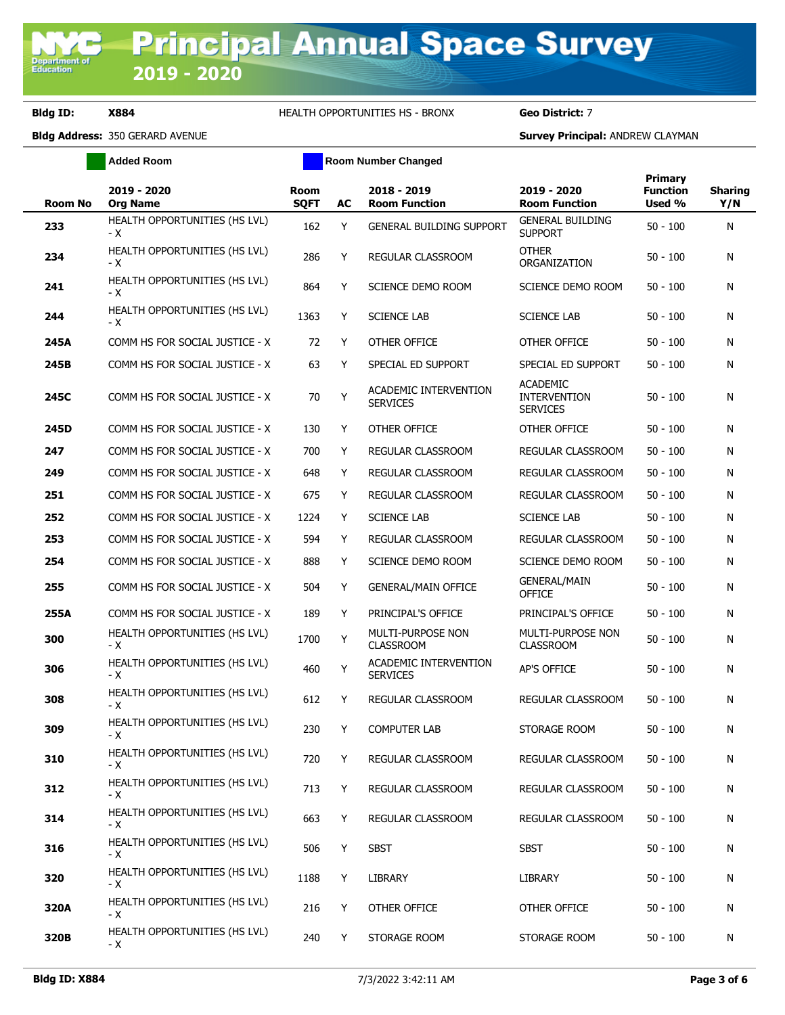## **Bldg ID: X884** HEALTH OPPORTUNITIES HS - BRONX **Geo District:** 7

**Added Room Room Room Number Changed** 

| <b>Room No</b> | 2019 - 2020<br><b>Org Name</b>       | Room<br><b>SQFT</b> | AC | 2018 - 2019<br><b>Room Function</b>      | 2019 - 2020<br><b>Room Function</b>                       | <b>Primary</b><br><b>Function</b><br>Used % | <b>Sharing</b><br>Y/N |
|----------------|--------------------------------------|---------------------|----|------------------------------------------|-----------------------------------------------------------|---------------------------------------------|-----------------------|
| 233            | HEALTH OPPORTUNITIES (HS LVL)<br>- X | 162                 | Y  | <b>GENERAL BUILDING SUPPORT</b>          | <b>GENERAL BUILDING</b><br><b>SUPPORT</b>                 | $50 - 100$                                  | N                     |
| 234            | HEALTH OPPORTUNITIES (HS LVL)<br>- X | 286                 | Y  | <b>REGULAR CLASSROOM</b>                 | <b>OTHER</b><br>ORGANIZATION                              | $50 - 100$                                  | N                     |
| 241            | HEALTH OPPORTUNITIES (HS LVL)<br>- X | 864                 | Y  | SCIENCE DEMO ROOM                        | SCIENCE DEMO ROOM                                         | 50 - 100                                    | N                     |
| 244            | HEALTH OPPORTUNITIES (HS LVL)<br>- X | 1363                | Y  | <b>SCIENCE LAB</b>                       | <b>SCIENCE LAB</b>                                        | $50 - 100$                                  | N                     |
| 245A           | COMM HS FOR SOCIAL JUSTICE - X       | 72                  | Y  | OTHER OFFICE                             | OTHER OFFICE                                              | $50 - 100$                                  | N                     |
| 245B           | COMM HS FOR SOCIAL JUSTICE - X       | 63                  | Y  | SPECIAL ED SUPPORT                       | SPECIAL ED SUPPORT                                        | $50 - 100$                                  | N                     |
| 245C           | COMM HS FOR SOCIAL JUSTICE - X       | 70                  | Y  | ACADEMIC INTERVENTION<br><b>SERVICES</b> | <b>ACADEMIC</b><br><b>INTERVENTION</b><br><b>SERVICES</b> | $50 - 100$                                  | N                     |
| 245D           | COMM HS FOR SOCIAL JUSTICE - X       | 130                 | Y  | OTHER OFFICE                             | OTHER OFFICE                                              | $50 - 100$                                  | N                     |
| 247            | COMM HS FOR SOCIAL JUSTICE - X       | 700                 | Y  | REGULAR CLASSROOM                        | REGULAR CLASSROOM                                         | $50 - 100$                                  | N                     |
| 249            | COMM HS FOR SOCIAL JUSTICE - X       | 648                 | Y  | <b>REGULAR CLASSROOM</b>                 | REGULAR CLASSROOM                                         | $50 - 100$                                  | N                     |
| 251            | COMM HS FOR SOCIAL JUSTICE - X       | 675                 | Y  | REGULAR CLASSROOM                        | REGULAR CLASSROOM                                         | $50 - 100$                                  | N                     |
| 252            | COMM HS FOR SOCIAL JUSTICE - X       | 1224                | Y  | <b>SCIENCE LAB</b>                       | <b>SCIENCE LAB</b>                                        | $50 - 100$                                  | N                     |
| 253            | COMM HS FOR SOCIAL JUSTICE - X       | 594                 | Y  | <b>REGULAR CLASSROOM</b>                 | REGULAR CLASSROOM                                         | $50 - 100$                                  | N                     |
| 254            | COMM HS FOR SOCIAL JUSTICE - X       | 888                 | Y  | SCIENCE DEMO ROOM                        | SCIENCE DEMO ROOM                                         | $50 - 100$                                  | N                     |
| 255            | COMM HS FOR SOCIAL JUSTICE - X       | 504                 | Y  | <b>GENERAL/MAIN OFFICE</b>               | <b>GENERAL/MAIN</b><br><b>OFFICE</b>                      | $50 - 100$                                  | N                     |
| 255A           | COMM HS FOR SOCIAL JUSTICE - X       | 189                 | Y  | PRINCIPAL'S OFFICE                       | PRINCIPAL'S OFFICE                                        | $50 - 100$                                  | N                     |
| 300            | HEALTH OPPORTUNITIES (HS LVL)<br>- X | 1700                | Y  | MULTI-PURPOSE NON<br><b>CLASSROOM</b>    | <b>MULTI-PURPOSE NON</b><br><b>CLASSROOM</b>              | 50 - 100                                    | N                     |
| 306            | HEALTH OPPORTUNITIES (HS LVL)<br>- X | 460                 | Y  | ACADEMIC INTERVENTION<br><b>SERVICES</b> | <b>AP'S OFFICE</b>                                        | $50 - 100$                                  | N                     |
| 308            | HEALTH OPPORTUNITIES (HS LVL)<br>- X | 612                 | Y  | REGULAR CLASSROOM                        | REGULAR CLASSROOM                                         | $50 - 100$                                  | N                     |
| 309            | HEALTH OPPORTUNITIES (HS LVL)<br>- X | 230                 | Y  | <b>COMPUTER LAB</b>                      | STORAGE ROOM                                              | $50 - 100$                                  | N                     |
| 310            | HEALTH OPPORTUNITIES (HS LVL)<br>- X | 720                 | Y  | REGULAR CLASSROOM                        | REGULAR CLASSROOM                                         | $50 - 100$                                  | N                     |
| 312            | HEALTH OPPORTUNITIES (HS LVL)<br>- X | 713                 | Y  | REGULAR CLASSROOM                        | REGULAR CLASSROOM                                         | $50 - 100$                                  | N                     |
| 314            | HEALTH OPPORTUNITIES (HS LVL)<br>- X | 663                 | Y  | REGULAR CLASSROOM                        | REGULAR CLASSROOM                                         | $50 - 100$                                  | N                     |
| 316            | HEALTH OPPORTUNITIES (HS LVL)<br>- X | 506                 | Y  | <b>SBST</b>                              | <b>SBST</b>                                               | $50 - 100$                                  | N                     |
| 320            | HEALTH OPPORTUNITIES (HS LVL)<br>- X | 1188                | Y  | <b>LIBRARY</b>                           | <b>LIBRARY</b>                                            | $50 - 100$                                  | N                     |
| 320A           | HEALTH OPPORTUNITIES (HS LVL)<br>- X | 216                 | Y  | OTHER OFFICE                             | OTHER OFFICE                                              | $50 - 100$                                  | N                     |
| 320B           | HEALTH OPPORTUNITIES (HS LVL)<br>- X | 240                 | Y  | STORAGE ROOM                             | STORAGE ROOM                                              | $50 - 100$                                  | N                     |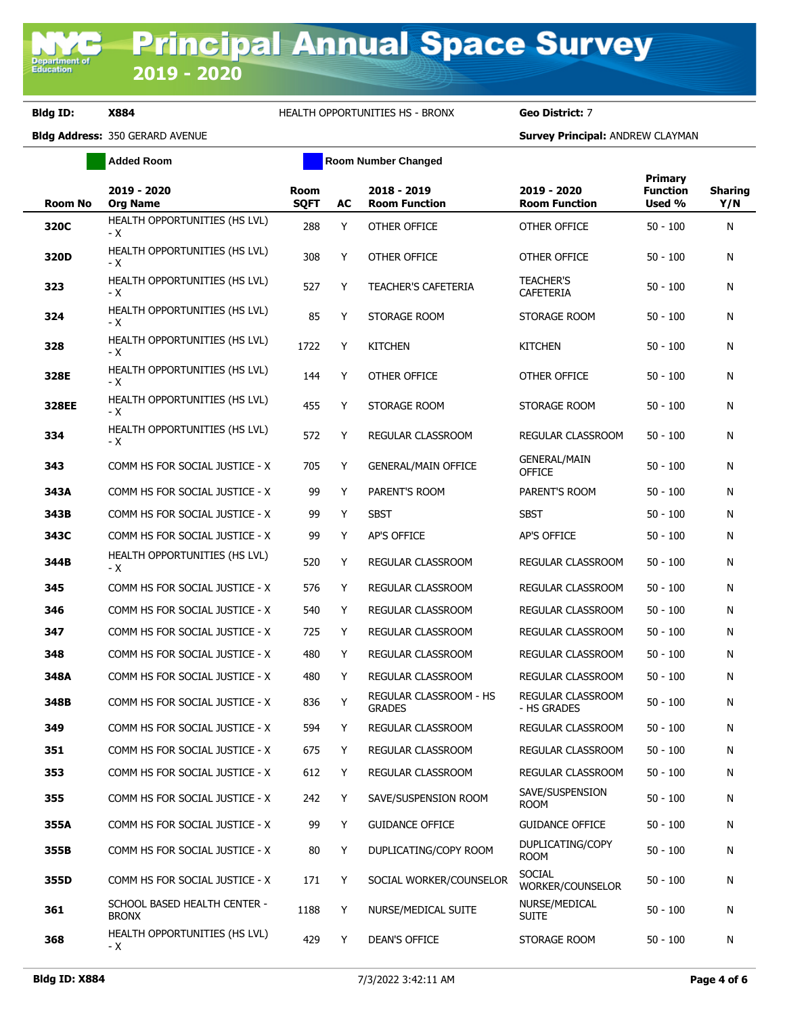**Bldg ID: X884** HEALTH OPPORTUNITIES HS - BRONX **Geo District:** 7

**Added Room Room Room Number Changed** 

| Room No | 2019 - 2020<br><b>Org Name</b>               | <b>Room</b><br><b>SQFT</b> | AC | 2018 - 2019<br><b>Room Function</b>     | 2019 - 2020<br><b>Room Function</b>  | Primary<br><b>Function</b><br>Used % | <b>Sharing</b><br>Y/N |
|---------|----------------------------------------------|----------------------------|----|-----------------------------------------|--------------------------------------|--------------------------------------|-----------------------|
| 320C    | HEALTH OPPORTUNITIES (HS LVL)<br>- X         | 288                        | Y  | OTHER OFFICE                            | OTHER OFFICE                         | $50 - 100$                           | N                     |
| 320D    | HEALTH OPPORTUNITIES (HS LVL)<br>- X         | 308                        | Y  | OTHER OFFICE                            | OTHER OFFICE                         | $50 - 100$                           | N                     |
| 323     | HEALTH OPPORTUNITIES (HS LVL)<br>- X         | 527                        | Y  | <b>TEACHER'S CAFETERIA</b>              | <b>TEACHER'S</b><br><b>CAFETERIA</b> | $50 - 100$                           | N                     |
| 324     | HEALTH OPPORTUNITIES (HS LVL)<br>- X         | 85                         | Y  | STORAGE ROOM                            | STORAGE ROOM                         | $50 - 100$                           | N                     |
| 328     | HEALTH OPPORTUNITIES (HS LVL)<br>- X         | 1722                       | Y  | <b>KITCHEN</b>                          | <b>KITCHEN</b>                       | $50 - 100$                           | N                     |
| 328E    | HEALTH OPPORTUNITIES (HS LVL)<br>- X         | 144                        | Y  | OTHER OFFICE                            | OTHER OFFICE                         | $50 - 100$                           | N                     |
| 328EE   | HEALTH OPPORTUNITIES (HS LVL)<br>- X         | 455                        | Y  | STORAGE ROOM                            | STORAGE ROOM                         | $50 - 100$                           | N                     |
| 334     | HEALTH OPPORTUNITIES (HS LVL)<br>- X         | 572                        | Y  | REGULAR CLASSROOM                       | REGULAR CLASSROOM                    | $50 - 100$                           | N                     |
| 343     | COMM HS FOR SOCIAL JUSTICE - X               | 705                        | Υ  | <b>GENERAL/MAIN OFFICE</b>              | <b>GENERAL/MAIN</b><br><b>OFFICE</b> | $50 - 100$                           | N                     |
| 343A    | COMM HS FOR SOCIAL JUSTICE - X               | 99                         | Y  | PARENT'S ROOM                           | PARENT'S ROOM                        | $50 - 100$                           | N                     |
| 343B    | COMM HS FOR SOCIAL JUSTICE - X               | 99                         | Y  | <b>SBST</b>                             | <b>SBST</b>                          | $50 - 100$                           | N                     |
| 343C    | COMM HS FOR SOCIAL JUSTICE - X               | 99                         | Y  | <b>AP'S OFFICE</b>                      | AP'S OFFICE                          | $50 - 100$                           | N                     |
| 344B    | HEALTH OPPORTUNITIES (HS LVL)<br>- X         | 520                        | Y  | REGULAR CLASSROOM                       | REGULAR CLASSROOM                    | $50 - 100$                           | N                     |
| 345     | COMM HS FOR SOCIAL JUSTICE - X               | 576                        | Y  | REGULAR CLASSROOM                       | REGULAR CLASSROOM                    | $50 - 100$                           | N                     |
| 346     | COMM HS FOR SOCIAL JUSTICE - X               | 540                        | Y  | REGULAR CLASSROOM                       | REGULAR CLASSROOM                    | $50 - 100$                           | N                     |
| 347     | COMM HS FOR SOCIAL JUSTICE - X               | 725                        | Y  | REGULAR CLASSROOM                       | REGULAR CLASSROOM                    | $50 - 100$                           | N                     |
| 348     | COMM HS FOR SOCIAL JUSTICE - X               | 480                        | Y  | REGULAR CLASSROOM                       | REGULAR CLASSROOM                    | $50 - 100$                           | N                     |
| 348A    | COMM HS FOR SOCIAL JUSTICE - X               | 480                        | Y  | REGULAR CLASSROOM                       | REGULAR CLASSROOM                    | $50 - 100$                           | N                     |
| 348B    | COMM HS FOR SOCIAL JUSTICE - X               | 836                        | Y  | REGULAR CLASSROOM - HS<br><b>GRADES</b> | REGULAR CLASSROOM<br>- HS GRADES     | $50 - 100$                           | N                     |
| 349     | COMM HS FOR SOCIAL JUSTICE - X               | 594                        | Y  | <b>REGULAR CLASSROOM</b>                | REGULAR CLASSROOM                    | $50 - 100$                           | N                     |
| 351     | COMM HS FOR SOCIAL JUSTICE - X               | 675                        | Y  | REGULAR CLASSROOM                       | REGULAR CLASSROOM                    | 50 - 100                             | N                     |
| 353     | COMM HS FOR SOCIAL JUSTICE - X               | 612                        | Y  | REGULAR CLASSROOM                       | REGULAR CLASSROOM                    | $50 - 100$                           | N                     |
| 355     | COMM HS FOR SOCIAL JUSTICE - X               | 242                        | Y  | SAVE/SUSPENSION ROOM                    | SAVE/SUSPENSION<br><b>ROOM</b>       | $50 - 100$                           | N                     |
| 355A    | COMM HS FOR SOCIAL JUSTICE - X               | 99                         | Y  | <b>GUIDANCE OFFICE</b>                  | <b>GUIDANCE OFFICE</b>               | $50 - 100$                           | N                     |
| 355B    | COMM HS FOR SOCIAL JUSTICE - X               | 80                         | Y  | DUPLICATING/COPY ROOM                   | DUPLICATING/COPY<br><b>ROOM</b>      | $50 - 100$                           | N                     |
| 355D    | COMM HS FOR SOCIAL JUSTICE - X               | 171                        | Y  | SOCIAL WORKER/COUNSELOR                 | <b>SOCIAL</b><br>WORKER/COUNSELOR    | $50 - 100$                           | N                     |
| 361     | SCHOOL BASED HEALTH CENTER -<br><b>BRONX</b> | 1188                       | Y  | NURSE/MEDICAL SUITE                     | NURSE/MEDICAL<br><b>SUITE</b>        | $50 - 100$                           | N                     |
| 368     | HEALTH OPPORTUNITIES (HS LVL)<br>- X         | 429                        | Y  | DEAN'S OFFICE                           | STORAGE ROOM                         | $50 - 100$                           | N                     |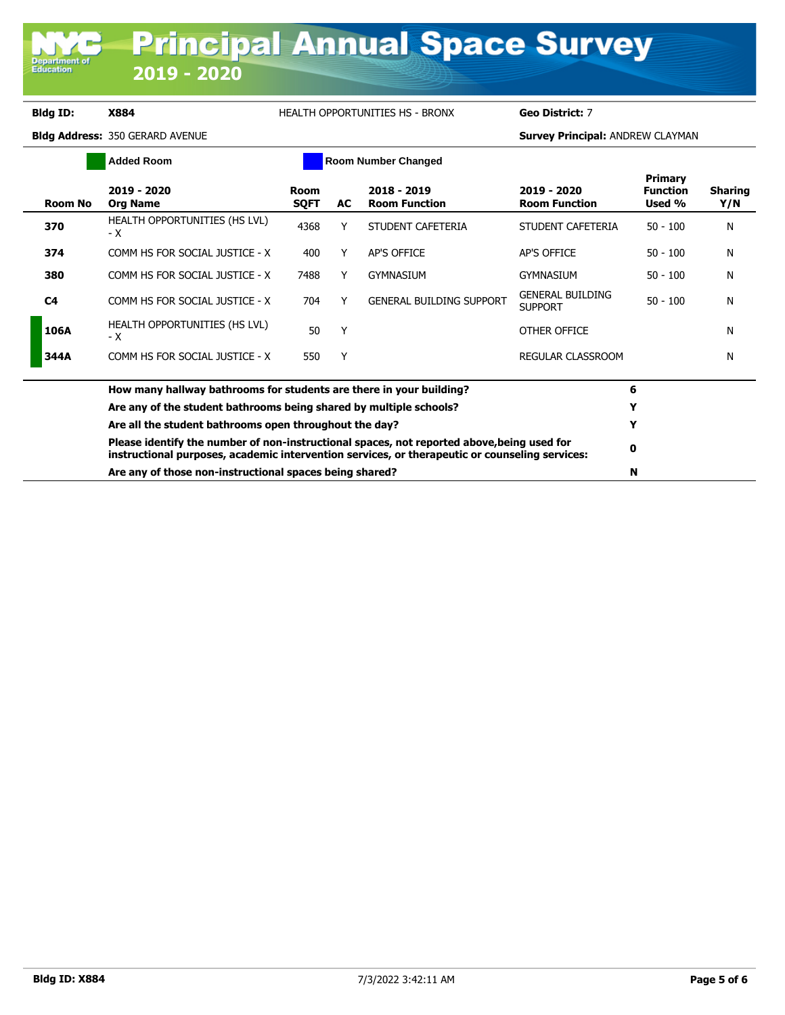**Department of**<br>Education

## **Bldg ID: X884** HEALTH OPPORTUNITIES HS - BRONX **Geo District:** 7

Ē.

|         | <b>Added Room</b>                                                                                                                                                                            |                     |    | <b>Room Number Changed</b>          |                                           |                                             |                       |
|---------|----------------------------------------------------------------------------------------------------------------------------------------------------------------------------------------------|---------------------|----|-------------------------------------|-------------------------------------------|---------------------------------------------|-----------------------|
| Room No | 2019 - 2020<br><b>Org Name</b>                                                                                                                                                               | Room<br><b>SQFT</b> | AC | 2018 - 2019<br><b>Room Function</b> | 2019 - 2020<br><b>Room Function</b>       | <b>Primary</b><br><b>Function</b><br>Used % | <b>Sharing</b><br>Y/N |
| 370     | HEALTH OPPORTUNITIES (HS LVL)<br>- X                                                                                                                                                         | 4368                | Y  | STUDENT CAFETERIA                   | STUDENT CAFETERIA                         | $50 - 100$                                  | N                     |
| 374     | COMM HS FOR SOCIAL JUSTICE - X                                                                                                                                                               | 400                 | Y  | AP'S OFFICE                         | AP'S OFFICE                               | $50 - 100$                                  | N                     |
| 380     | COMM HS FOR SOCIAL JUSTICE - X                                                                                                                                                               | 7488                |    | <b>GYMNASIUM</b>                    | GYMNASIUM                                 | $50 - 100$                                  | N                     |
| C4      | COMM HS FOR SOCIAL JUSTICE - X                                                                                                                                                               | 704                 |    | <b>GENERAL BUILDING SUPPORT</b>     | <b>GENERAL BUILDING</b><br><b>SUPPORT</b> | $50 - 100$                                  | N                     |
| 106A    | HEALTH OPPORTUNITIES (HS LVL)<br>– X                                                                                                                                                         | 50                  | Υ  |                                     | OTHER OFFICE                              |                                             | N                     |
| 344A    | COMM HS FOR SOCIAL JUSTICE - X                                                                                                                                                               | 550                 | Υ  |                                     | <b>REGULAR CLASSROOM</b>                  |                                             | N                     |
|         | How many hallway bathrooms for students are there in your building?                                                                                                                          |                     | 6  |                                     |                                           |                                             |                       |
|         | Are any of the student bathrooms being shared by multiple schools?                                                                                                                           |                     |    |                                     |                                           |                                             |                       |
|         | Are all the student bathrooms open throughout the day?                                                                                                                                       |                     | Υ  |                                     |                                           |                                             |                       |
|         | Please identify the number of non-instructional spaces, not reported above, being used for<br>instructional purposes, academic intervention services, or therapeutic or counseling services: |                     | 0  |                                     |                                           |                                             |                       |
|         | Are any of those non-instructional spaces being shared?                                                                                                                                      |                     | N  |                                     |                                           |                                             |                       |